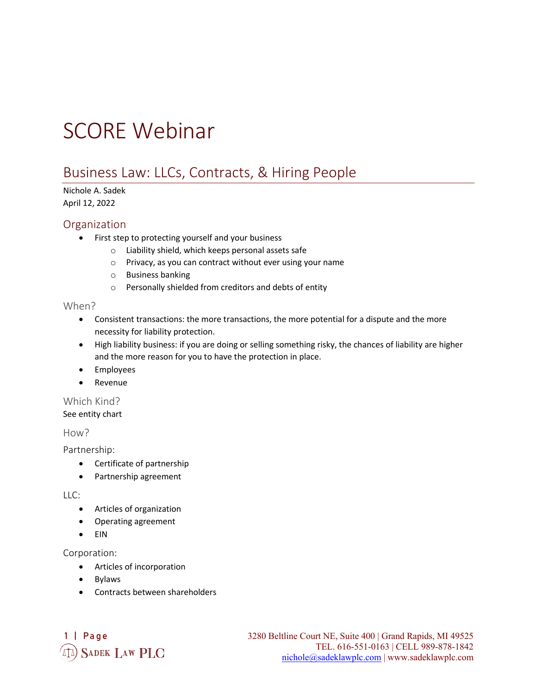# SCORE Webinar

# Business Law: LLCs, Contracts, & Hiring People

#### Nichole A. Sadek April 12, 2022

#### **Organization**

- First step to protecting yourself and your business
	- o Liability shield, which keeps personal assets safe
	- o Privacy, as you can contract without ever using your name
	- o Business banking
	- o Personally shielded from creditors and debts of entity

#### When?

- Consistent transactions: the more transactions, the more potential for a dispute and the more necessity for liability protection.
- High liability business: if you are doing or selling something risky, the chances of liability are higher and the more reason for you to have the protection in place.
- Employees
- Revenue

### Which Kind?

See entity chart

How?

Partnership:

- Certificate of partnership
- Partnership agreement

LLC:

- Articles of organization
- Operating agreement
- EIN

Corporation:

- Articles of incorporation
- Bylaws
- Contracts between shareholders

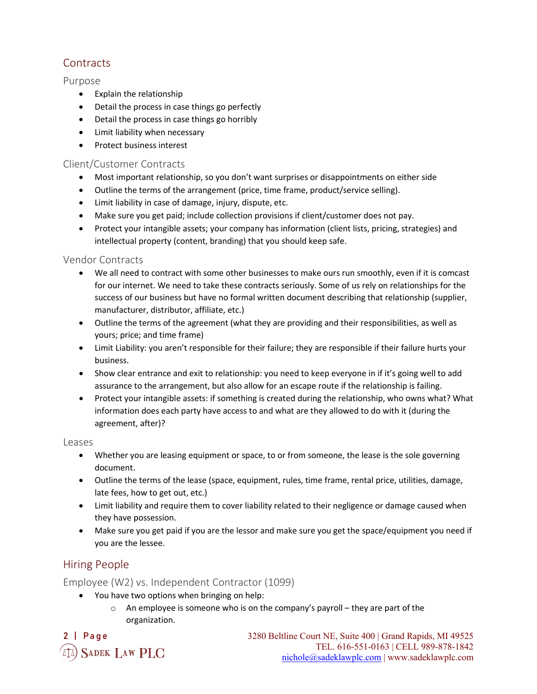# **Contracts**

#### Purpose

- Explain the relationship
- Detail the process in case things go perfectly
- Detail the process in case things go horribly
- Limit liability when necessary
- Protect business interest

#### Client/Customer Contracts

- Most important relationship, so you don't want surprises or disappointments on either side
- Outline the terms of the arrangement (price, time frame, product/service selling).
- Limit liability in case of damage, injury, dispute, etc.
- Make sure you get paid; include collection provisions if client/customer does not pay.
- Protect your intangible assets; your company has information (client lists, pricing, strategies) and intellectual property (content, branding) that you should keep safe.

#### Vendor Contracts

- We all need to contract with some other businesses to make ours run smoothly, even if it is comcast for our internet. We need to take these contracts seriously. Some of us rely on relationships for the success of our business but have no formal written document describing that relationship (supplier, manufacturer, distributor, affiliate, etc.)
- Outline the terms of the agreement (what they are providing and their responsibilities, as well as yours; price; and time frame)
- Limit Liability: you aren't responsible for their failure; they are responsible if their failure hurts your business.
- Show clear entrance and exit to relationship: you need to keep everyone in if it's going well to add assurance to the arrangement, but also allow for an escape route if the relationship is failing.
- Protect your intangible assets: if something is created during the relationship, who owns what? What information does each party have access to and what are they allowed to do with it (during the agreement, after)?

#### Leases

- Whether you are leasing equipment or space, to or from someone, the lease is the sole governing document.
- Outline the terms of the lease (space, equipment, rules, time frame, rental price, utilities, damage, late fees, how to get out, etc.)
- Limit liability and require them to cover liability related to their negligence or damage caused when they have possession.
- Make sure you get paid if you are the lessor and make sure you get the space/equipment you need if you are the lessee.

# Hiring People

Employee (W2) vs. Independent Contractor (1099)

- You have two options when bringing on help:
	- o An employee is someone who is on the company's payroll they are part of the organization.